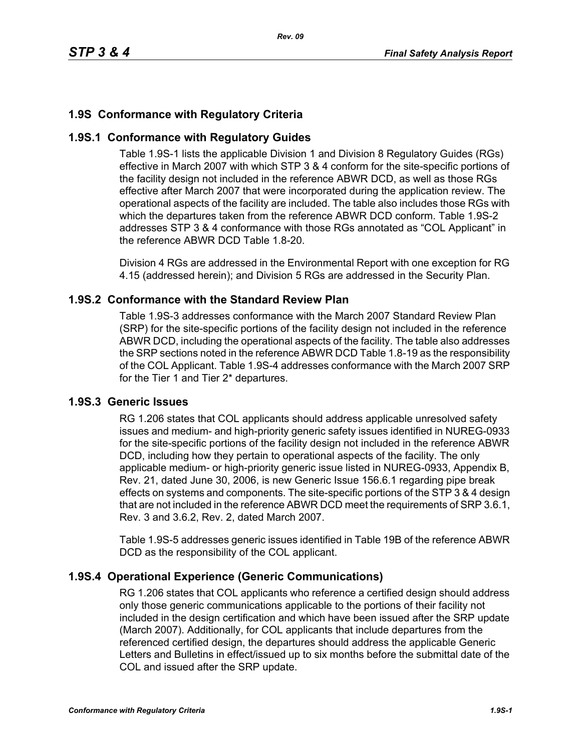## **1.9S Conformance with Regulatory Criteria**

### **1.9S.1 Conformance with Regulatory Guides**

Table 1.9S-1 lists the applicable Division 1 and Division 8 Regulatory Guides (RGs) effective in March 2007 with which STP 3 & 4 conform for the site-specific portions of the facility design not included in the reference ABWR DCD, as well as those RGs effective after March 2007 that were incorporated during the application review. The operational aspects of the facility are included. The table also includes those RGs with which the departures taken from the reference ABWR DCD conform. Table 1.9S-2 addresses STP 3 & 4 conformance with those RGs annotated as "COL Applicant" in the reference ABWR DCD Table 1.8-20.

Division 4 RGs are addressed in the Environmental Report with one exception for RG 4.15 (addressed herein); and Division 5 RGs are addressed in the Security Plan.

### **1.9S.2 Conformance with the Standard Review Plan**

Table 1.9S-3 addresses conformance with the March 2007 Standard Review Plan (SRP) for the site-specific portions of the facility design not included in the reference ABWR DCD, including the operational aspects of the facility. The table also addresses the SRP sections noted in the reference ABWR DCD Table 1.8-19 as the responsibility of the COL Applicant. Table 1.9S-4 addresses conformance with the March 2007 SRP for the Tier 1 and Tier 2\* departures.

### **1.9S.3 Generic Issues**

RG 1.206 states that COL applicants should address applicable unresolved safety issues and medium- and high-priority generic safety issues identified in NUREG-0933 for the site-specific portions of the facility design not included in the reference ABWR DCD, including how they pertain to operational aspects of the facility. The only applicable medium- or high-priority generic issue listed in NUREG-0933, Appendix B, Rev. 21, dated June 30, 2006, is new Generic Issue 156.6.1 regarding pipe break effects on systems and components. The site-specific portions of the STP 3 & 4 design that are not included in the reference ABWR DCD meet the requirements of SRP 3.6.1, Rev. 3 and 3.6.2, Rev. 2, dated March 2007.

Table 1.9S-5 addresses generic issues identified in Table 19B of the reference ABWR DCD as the responsibility of the COL applicant.

### **1.9S.4 Operational Experience (Generic Communications)**

RG 1.206 states that COL applicants who reference a certified design should address only those generic communications applicable to the portions of their facility not included in the design certification and which have been issued after the SRP update (March 2007). Additionally, for COL applicants that include departures from the referenced certified design, the departures should address the applicable Generic Letters and Bulletins in effect/issued up to six months before the submittal date of the COL and issued after the SRP update.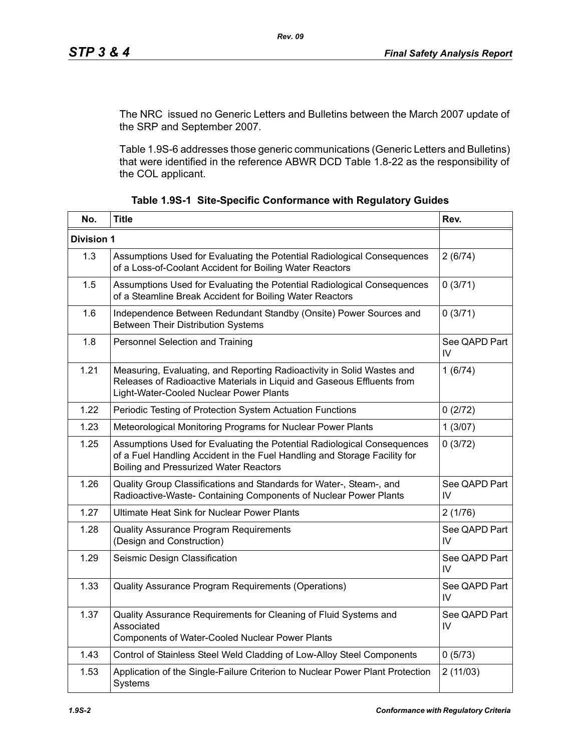The NRC issued no Generic Letters and Bulletins between the March 2007 update of the SRP and September 2007.

Table 1.9S-6 addresses those generic communications (Generic Letters and Bulletins) that were identified in the reference ABWR DCD Table 1.8-22 as the responsibility of the COL applicant.

| No.               | <b>Title</b>                                                                                                                                                                                          | Rev.                |
|-------------------|-------------------------------------------------------------------------------------------------------------------------------------------------------------------------------------------------------|---------------------|
| <b>Division 1</b> |                                                                                                                                                                                                       |                     |
| 1.3               | Assumptions Used for Evaluating the Potential Radiological Consequences<br>of a Loss-of-Coolant Accident for Boiling Water Reactors                                                                   | 2(6/74)             |
| 1.5               | Assumptions Used for Evaluating the Potential Radiological Consequences<br>of a Steamline Break Accident for Boiling Water Reactors                                                                   | 0(3/71)             |
| 1.6               | Independence Between Redundant Standby (Onsite) Power Sources and<br><b>Between Their Distribution Systems</b>                                                                                        | 0(3/71)             |
| 1.8               | Personnel Selection and Training                                                                                                                                                                      | See QAPD Part<br>IV |
| 1.21              | Measuring, Evaluating, and Reporting Radioactivity in Solid Wastes and<br>Releases of Radioactive Materials in Liquid and Gaseous Effluents from<br>Light-Water-Cooled Nuclear Power Plants           | 1(6/74)             |
| 1.22              | Periodic Testing of Protection System Actuation Functions                                                                                                                                             | 0(2/72)             |
| 1.23              | Meteorological Monitoring Programs for Nuclear Power Plants                                                                                                                                           | 1(3/07)             |
| 1.25              | Assumptions Used for Evaluating the Potential Radiological Consequences<br>of a Fuel Handling Accident in the Fuel Handling and Storage Facility for<br><b>Boiling and Pressurized Water Reactors</b> | 0(3/72)             |
| 1.26              | Quality Group Classifications and Standards for Water-, Steam-, and<br>Radioactive-Waste- Containing Components of Nuclear Power Plants                                                               | See QAPD Part<br>IV |
| 1.27              | <b>Ultimate Heat Sink for Nuclear Power Plants</b>                                                                                                                                                    | 2(1/76)             |
| 1.28              | Quality Assurance Program Requirements<br>(Design and Construction)                                                                                                                                   | See QAPD Part<br>IV |
| 1.29              | Seismic Design Classification                                                                                                                                                                         | See QAPD Part<br>IV |
| 1.33              | Quality Assurance Program Requirements (Operations)                                                                                                                                                   | See QAPD Part<br>IV |
| 1.37              | Quality Assurance Requirements for Cleaning of Fluid Systems and<br>Associated<br><b>Components of Water-Cooled Nuclear Power Plants</b>                                                              | See QAPD Part<br>IV |
| 1.43              | Control of Stainless Steel Weld Cladding of Low-Alloy Steel Components                                                                                                                                | 0(5/73)             |
| 1.53              | Application of the Single-Failure Criterion to Nuclear Power Plant Protection<br>Systems                                                                                                              | 2(11/03)            |

|  |  | Table 1.9S-1 Site-Specific Conformance with Regulatory Guides |  |  |
|--|--|---------------------------------------------------------------|--|--|
|--|--|---------------------------------------------------------------|--|--|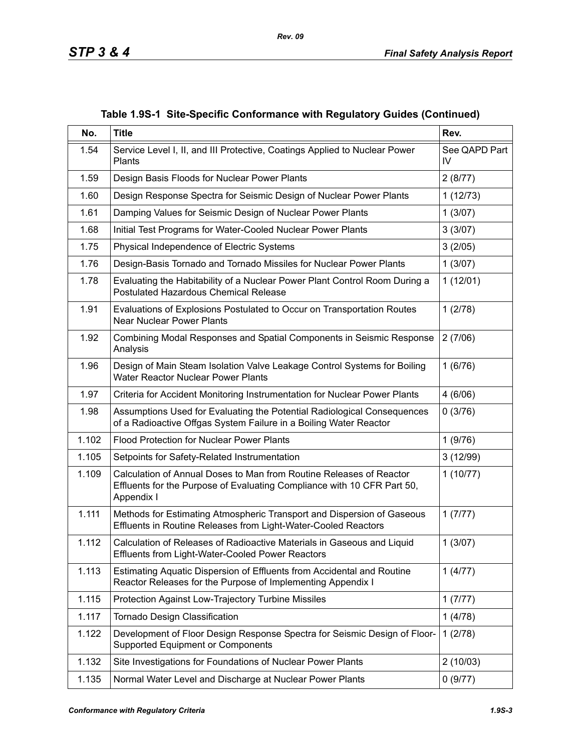| No.   | <b>Title</b>                                                                                                                                                 | Rev.                |
|-------|--------------------------------------------------------------------------------------------------------------------------------------------------------------|---------------------|
| 1.54  | Service Level I, II, and III Protective, Coatings Applied to Nuclear Power<br>Plants                                                                         | See QAPD Part<br>IV |
| 1.59  | Design Basis Floods for Nuclear Power Plants                                                                                                                 | 2(8/77)             |
| 1.60  | Design Response Spectra for Seismic Design of Nuclear Power Plants                                                                                           | 1(12/73)            |
| 1.61  | Damping Values for Seismic Design of Nuclear Power Plants                                                                                                    | 1(3/07)             |
| 1.68  | Initial Test Programs for Water-Cooled Nuclear Power Plants                                                                                                  | 3(3/07)             |
| 1.75  | Physical Independence of Electric Systems                                                                                                                    | 3(2/05)             |
| 1.76  | Design-Basis Tornado and Tornado Missiles for Nuclear Power Plants                                                                                           | 1(3/07)             |
| 1.78  | Evaluating the Habitability of a Nuclear Power Plant Control Room During a<br><b>Postulated Hazardous Chemical Release</b>                                   | 1(12/01)            |
| 1.91  | Evaluations of Explosions Postulated to Occur on Transportation Routes<br><b>Near Nuclear Power Plants</b>                                                   | 1(2/78)             |
| 1.92  | Combining Modal Responses and Spatial Components in Seismic Response<br>Analysis                                                                             | 2(7/06)             |
| 1.96  | Design of Main Steam Isolation Valve Leakage Control Systems for Boiling<br><b>Water Reactor Nuclear Power Plants</b>                                        | 1(6/76)             |
| 1.97  | Criteria for Accident Monitoring Instrumentation for Nuclear Power Plants                                                                                    | 4(6/06)             |
| 1.98  | Assumptions Used for Evaluating the Potential Radiological Consequences<br>of a Radioactive Offgas System Failure in a Boiling Water Reactor                 | 0(3/76)             |
| 1.102 | <b>Flood Protection for Nuclear Power Plants</b>                                                                                                             | 1(9/76)             |
| 1.105 | Setpoints for Safety-Related Instrumentation                                                                                                                 | 3(12/99)            |
| 1.109 | Calculation of Annual Doses to Man from Routine Releases of Reactor<br>Effluents for the Purpose of Evaluating Compliance with 10 CFR Part 50,<br>Appendix I | 1(10/77)            |
| 1.111 | Methods for Estimating Atmospheric Transport and Dispersion of Gaseous<br>Effluents in Routine Releases from Light-Water-Cooled Reactors                     | 1(7/77)             |
| 1.112 | Calculation of Releases of Radioactive Materials in Gaseous and Liquid<br><b>Effluents from Light-Water-Cooled Power Reactors</b>                            | 1(3/07)             |
| 1.113 | Estimating Aquatic Dispersion of Effluents from Accidental and Routine<br>Reactor Releases for the Purpose of Implementing Appendix I                        | 1(4/77)             |
| 1.115 | Protection Against Low-Trajectory Turbine Missiles                                                                                                           | 1(7/77)             |
| 1.117 | Tornado Design Classification                                                                                                                                | 1(4/78)             |
| 1.122 | Development of Floor Design Response Spectra for Seismic Design of Floor-<br><b>Supported Equipment or Components</b>                                        | 1(2/78)             |
| 1.132 | Site Investigations for Foundations of Nuclear Power Plants                                                                                                  | 2(10/03)            |
| 1.135 | Normal Water Level and Discharge at Nuclear Power Plants                                                                                                     | 0(9/77)             |

**Table 1.9S-1 Site-Specific Conformance with Regulatory Guides (Continued)**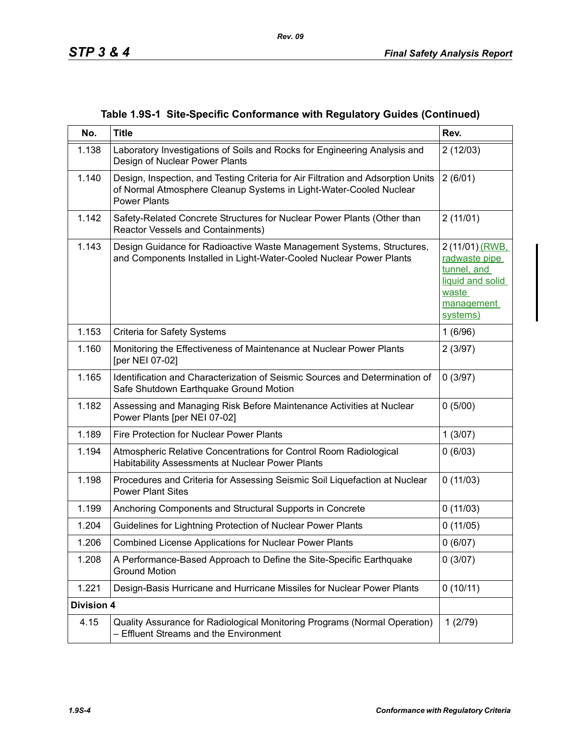|  |  |  | Table 1.9S-1 Site-Specific Conformance with Regulatory Guides (Continued) |  |  |
|--|--|--|---------------------------------------------------------------------------|--|--|
|--|--|--|---------------------------------------------------------------------------|--|--|

| No.               | <b>Title</b>                                                                                                                                                                  | Rev.                                                                                                   |
|-------------------|-------------------------------------------------------------------------------------------------------------------------------------------------------------------------------|--------------------------------------------------------------------------------------------------------|
| 1.138             | Laboratory Investigations of Soils and Rocks for Engineering Analysis and<br>Design of Nuclear Power Plants                                                                   | 2(12/03)                                                                                               |
| 1.140             | Design, Inspection, and Testing Criteria for Air Filtration and Adsorption Units<br>of Normal Atmosphere Cleanup Systems in Light-Water-Cooled Nuclear<br><b>Power Plants</b> | 2(6/01)                                                                                                |
| 1.142             | Safety-Related Concrete Structures for Nuclear Power Plants (Other than<br>Reactor Vessels and Containments)                                                                  | 2(11/01)                                                                                               |
| 1.143             | Design Guidance for Radioactive Waste Management Systems, Structures,<br>and Components Installed in Light-Water-Cooled Nuclear Power Plants                                  | 2 (11/01) (RWB,<br>radwaste pipe<br>tunnel, and<br>liquid and solid<br>waste<br>management<br>systems) |
| 1.153             | <b>Criteria for Safety Systems</b>                                                                                                                                            | 1(6/96)                                                                                                |
| 1.160             | Monitoring the Effectiveness of Maintenance at Nuclear Power Plants<br>[per NEI 07-02]                                                                                        | 2(3/97)                                                                                                |
| 1.165             | Identification and Characterization of Seismic Sources and Determination of<br>Safe Shutdown Earthquake Ground Motion                                                         | 0(3/97)                                                                                                |
| 1.182             | Assessing and Managing Risk Before Maintenance Activities at Nuclear<br>Power Plants [per NEI 07-02]                                                                          | 0(5/00)                                                                                                |
| 1.189             | Fire Protection for Nuclear Power Plants                                                                                                                                      | 1(3/07)                                                                                                |
| 1.194             | Atmospheric Relative Concentrations for Control Room Radiological<br>Habitability Assessments at Nuclear Power Plants                                                         | 0(6/03)                                                                                                |
| 1.198             | Procedures and Criteria for Assessing Seismic Soil Liquefaction at Nuclear<br><b>Power Plant Sites</b>                                                                        | 0(11/03)                                                                                               |
| 1.199             | Anchoring Components and Structural Supports in Concrete                                                                                                                      | 0(11/03)                                                                                               |
| 1.204             | Guidelines for Lightning Protection of Nuclear Power Plants                                                                                                                   | 0(11/05)                                                                                               |
| 1.206             | <b>Combined License Applications for Nuclear Power Plants</b>                                                                                                                 | 0(6/07)                                                                                                |
| 1.208             | A Performance-Based Approach to Define the Site-Specific Earthquake<br><b>Ground Motion</b>                                                                                   | 0(3/07)                                                                                                |
| 1.221             | Design-Basis Hurricane and Hurricane Missiles for Nuclear Power Plants                                                                                                        | 0(10/11)                                                                                               |
| <b>Division 4</b> |                                                                                                                                                                               |                                                                                                        |
| 4.15              | Quality Assurance for Radiological Monitoring Programs (Normal Operation)<br>- Effluent Streams and the Environment                                                           | 1(2/79)                                                                                                |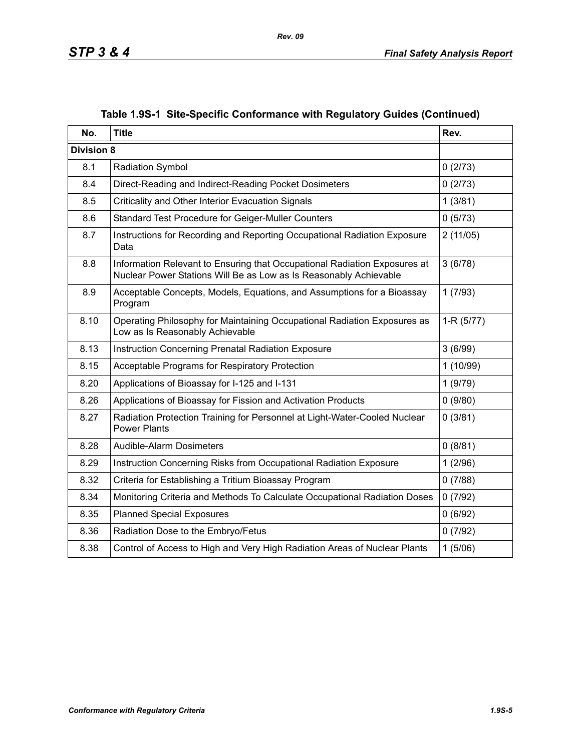| No.               | <b>Title</b>                                                                                                                                   | Rev.        |
|-------------------|------------------------------------------------------------------------------------------------------------------------------------------------|-------------|
| <b>Division 8</b> |                                                                                                                                                |             |
| 8.1               | <b>Radiation Symbol</b>                                                                                                                        | 0(2/73)     |
| 8.4               | Direct-Reading and Indirect-Reading Pocket Dosimeters                                                                                          | 0(2/73)     |
| 8.5               | Criticality and Other Interior Evacuation Signals                                                                                              | 1(3/81)     |
| 8.6               | Standard Test Procedure for Geiger-Muller Counters                                                                                             | 0(5/73)     |
| 8.7               | Instructions for Recording and Reporting Occupational Radiation Exposure<br>Data                                                               | 2(11/05)    |
| 8.8               | Information Relevant to Ensuring that Occupational Radiation Exposures at<br>Nuclear Power Stations Will Be as Low as Is Reasonably Achievable | 3(6/78)     |
| 8.9               | Acceptable Concepts, Models, Equations, and Assumptions for a Bioassay<br>Program                                                              | 1(7/93)     |
| 8.10              | Operating Philosophy for Maintaining Occupational Radiation Exposures as<br>Low as Is Reasonably Achievable                                    | $1-R(5/77)$ |
| 8.13              | Instruction Concerning Prenatal Radiation Exposure                                                                                             | 3(6/99)     |
| 8.15              | Acceptable Programs for Respiratory Protection                                                                                                 | 1(10/99)    |
| 8.20              | Applications of Bioassay for I-125 and I-131                                                                                                   | 1(9/79)     |
| 8.26              | Applications of Bioassay for Fission and Activation Products                                                                                   | 0(9/80)     |
| 8.27              | Radiation Protection Training for Personnel at Light-Water-Cooled Nuclear<br><b>Power Plants</b>                                               | 0(3/81)     |
| 8.28              | Audible-Alarm Dosimeters                                                                                                                       | 0(8/81)     |
| 8.29              | Instruction Concerning Risks from Occupational Radiation Exposure                                                                              | 1(2/96)     |
| 8.32              | Criteria for Establishing a Tritium Bioassay Program                                                                                           | 0(7/88)     |
| 8.34              | Monitoring Criteria and Methods To Calculate Occupational Radiation Doses                                                                      | 0(7/92)     |
| 8.35              | <b>Planned Special Exposures</b>                                                                                                               | 0(6/92)     |
| 8.36              | Radiation Dose to the Embryo/Fetus                                                                                                             | 0(7/92)     |
| 8.38              | Control of Access to High and Very High Radiation Areas of Nuclear Plants                                                                      | 1(5/06)     |

## **Table 1.9S-1 Site-Specific Conformance with Regulatory Guides (Continued)**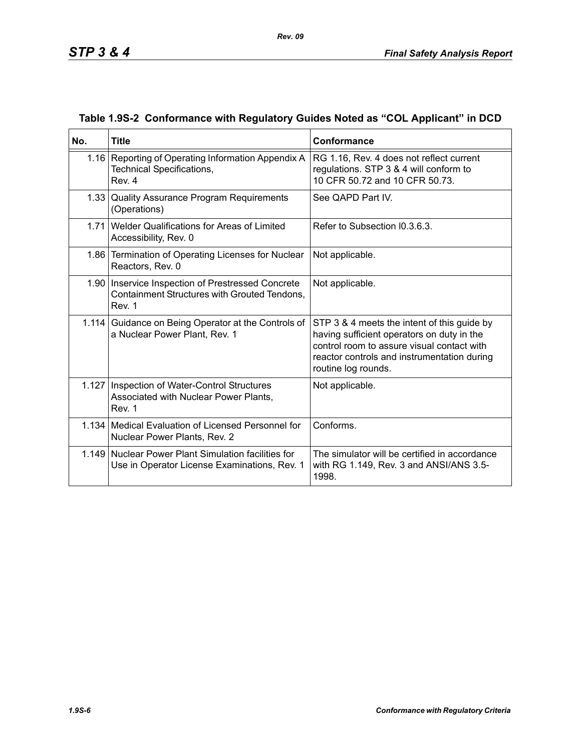| No. | <b>Title</b>                                                                                                  | Conformance                                                                                                                                                                                                   |
|-----|---------------------------------------------------------------------------------------------------------------|---------------------------------------------------------------------------------------------------------------------------------------------------------------------------------------------------------------|
|     | 1.16 Reporting of Operating Information Appendix A<br>Technical Specifications,<br>Rev. 4                     | RG 1.16, Rev. 4 does not reflect current<br>regulations. STP 3 & 4 will conform to<br>10 CFR 50.72 and 10 CFR 50.73.                                                                                          |
|     | 1.33 Quality Assurance Program Requirements<br>(Operations)                                                   | See QAPD Part IV.                                                                                                                                                                                             |
|     | 1.71 Welder Qualifications for Areas of Limited<br>Accessibility, Rev. 0                                      | Refer to Subsection I0.3.6.3.                                                                                                                                                                                 |
|     | 1.86 Termination of Operating Licenses for Nuclear<br>Reactors, Rev. 0                                        | Not applicable.                                                                                                                                                                                               |
|     | 1.90   Inservice Inspection of Prestressed Concrete<br>Containment Structures with Grouted Tendons,<br>Rev. 1 | Not applicable.                                                                                                                                                                                               |
|     | 1.114 Guidance on Being Operator at the Controls of<br>a Nuclear Power Plant, Rev. 1                          | STP 3 & 4 meets the intent of this guide by<br>having sufficient operators on duty in the<br>control room to assure visual contact with<br>reactor controls and instrumentation during<br>routine log rounds. |
|     | 1.127   Inspection of Water-Control Structures<br>Associated with Nuclear Power Plants,<br>Rev. 1             | Not applicable.                                                                                                                                                                                               |
|     | 1.134 Medical Evaluation of Licensed Personnel for<br>Nuclear Power Plants, Rev. 2                            | Conforms.                                                                                                                                                                                                     |
|     | 1.149 Nuclear Power Plant Simulation facilities for<br>Use in Operator License Examinations, Rev. 1           | The simulator will be certified in accordance<br>with RG 1.149, Rev. 3 and ANSI/ANS 3.5-<br>1998.                                                                                                             |

### **Table 1.9S-2 Conformance with Regulatory Guides Noted as "COL Applicant" in DCD**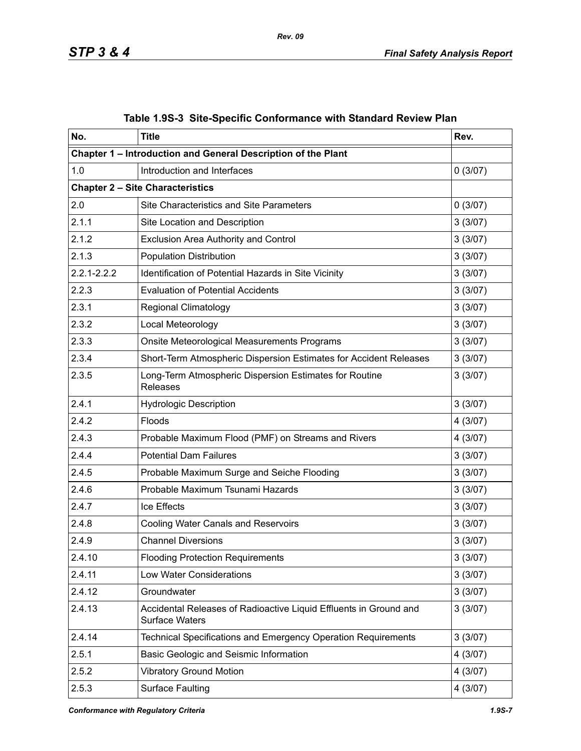| No.             | <b>Title</b>                                                                               | Rev.     |  |  |  |
|-----------------|--------------------------------------------------------------------------------------------|----------|--|--|--|
|                 | Chapter 1 - Introduction and General Description of the Plant                              |          |  |  |  |
| 1.0             | Introduction and Interfaces                                                                | 0(3/07)  |  |  |  |
|                 | <b>Chapter 2 - Site Characteristics</b>                                                    |          |  |  |  |
| 2.0             | <b>Site Characteristics and Site Parameters</b>                                            | 0(3/07)  |  |  |  |
| 2.1.1           | Site Location and Description                                                              | 3(3/07)  |  |  |  |
| 2.1.2           | <b>Exclusion Area Authority and Control</b>                                                | 3(3/07)  |  |  |  |
| 2.1.3           | <b>Population Distribution</b>                                                             | 3(3/07)  |  |  |  |
| $2.2.1 - 2.2.2$ | Identification of Potential Hazards in Site Vicinity                                       | 3(3/07)  |  |  |  |
| 2.2.3           | <b>Evaluation of Potential Accidents</b>                                                   | 3(3/07)  |  |  |  |
| 2.3.1           | <b>Regional Climatology</b>                                                                | 3(3/07)  |  |  |  |
| 2.3.2           | Local Meteorology                                                                          | 3(3/07)  |  |  |  |
| 2.3.3           | Onsite Meteorological Measurements Programs                                                | 3(3/07)  |  |  |  |
| 2.3.4           | Short-Term Atmospheric Dispersion Estimates for Accident Releases                          | 3(3/07)  |  |  |  |
| 2.3.5           | Long-Term Atmospheric Dispersion Estimates for Routine<br>Releases                         | 3(3/07)  |  |  |  |
| 2.4.1           | <b>Hydrologic Description</b>                                                              | 3(3/07)  |  |  |  |
| 2.4.2           | Floods                                                                                     | 4 (3/07) |  |  |  |
| 2.4.3           | Probable Maximum Flood (PMF) on Streams and Rivers                                         | 4(3/07)  |  |  |  |
| 2.4.4           | <b>Potential Dam Failures</b>                                                              | 3(3/07)  |  |  |  |
| 2.4.5           | Probable Maximum Surge and Seiche Flooding                                                 |          |  |  |  |
| 2.4.6           | Probable Maximum Tsunami Hazards                                                           | 3(3/07)  |  |  |  |
| 2.4.7           | Ice Effects                                                                                | 3(3/07)  |  |  |  |
| 2.4.8           | <b>Cooling Water Canals and Reservoirs</b>                                                 | 3(3/07)  |  |  |  |
| 2.4.9           | <b>Channel Diversions</b>                                                                  | 3(3/07)  |  |  |  |
| 2.4.10          | <b>Flooding Protection Requirements</b>                                                    | 3(3/07)  |  |  |  |
| 2.4.11          | Low Water Considerations                                                                   | 3(3/07)  |  |  |  |
| 2.4.12          | Groundwater                                                                                | 3(3/07)  |  |  |  |
| 2.4.13          | Accidental Releases of Radioactive Liquid Effluents in Ground and<br><b>Surface Waters</b> | 3(3/07)  |  |  |  |
| 2.4.14          | Technical Specifications and Emergency Operation Requirements                              | 3(3/07)  |  |  |  |
| 2.5.1           | Basic Geologic and Seismic Information                                                     | 4(3/07)  |  |  |  |
| 2.5.2           | <b>Vibratory Ground Motion</b>                                                             | 4(3/07)  |  |  |  |
| 2.5.3           | <b>Surface Faulting</b>                                                                    | 4(3/07)  |  |  |  |

## **Table 1.9S-3 Site-Specific Conformance with Standard Review Plan**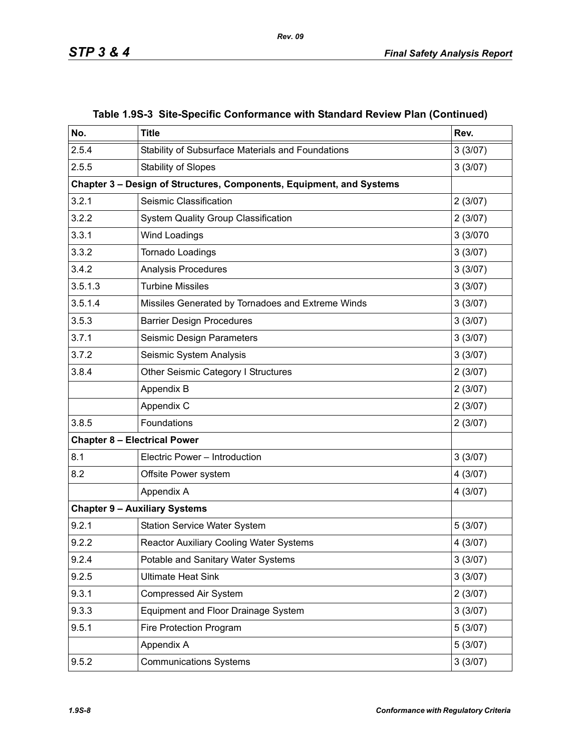| No.     | <b>Title</b>                                                         | Rev.     |
|---------|----------------------------------------------------------------------|----------|
| 2.5.4   | Stability of Subsurface Materials and Foundations                    | 3(3/07)  |
| 2.5.5   | <b>Stability of Slopes</b>                                           | 3(3/07)  |
|         | Chapter 3 - Design of Structures, Components, Equipment, and Systems |          |
| 3.2.1   | Seismic Classification                                               | 2(3/07)  |
| 3.2.2   | <b>System Quality Group Classification</b>                           | 2(3/07)  |
| 3.3.1   | Wind Loadings                                                        | 3 (3/070 |
| 3.3.2   | Tornado Loadings                                                     | 3(3/07)  |
| 3.4.2   | Analysis Procedures                                                  | 3(3/07)  |
| 3.5.1.3 | <b>Turbine Missiles</b>                                              | 3(3/07)  |
| 3.5.1.4 | Missiles Generated by Tornadoes and Extreme Winds                    | 3(3/07)  |
| 3.5.3   | <b>Barrier Design Procedures</b>                                     | 3(3/07)  |
| 3.7.1   | Seismic Design Parameters                                            | 3(3/07)  |
| 3.7.2   | Seismic System Analysis                                              | 3(3/07)  |
| 3.8.4   | Other Seismic Category I Structures                                  | 2(3/07)  |
|         | Appendix B                                                           | 2(3/07)  |
|         | Appendix C                                                           | 2(3/07)  |
| 3.8.5   | Foundations                                                          | 2(3/07)  |
|         | <b>Chapter 8 - Electrical Power</b>                                  |          |
| 8.1     | Electric Power - Introduction                                        | 3(3/07)  |
| 8.2     | Offsite Power system                                                 | 4(3/07)  |
|         | Appendix A                                                           | 4(3/07)  |
|         | <b>Chapter 9 - Auxiliary Systems</b>                                 |          |
| 9.2.1   | <b>Station Service Water System</b>                                  | 5(3/07)  |
| 9.2.2   | <b>Reactor Auxiliary Cooling Water Systems</b>                       | 4 (3/07) |
| 9.2.4   | Potable and Sanitary Water Systems                                   | 3(3/07)  |
| 9.2.5   | <b>Ultimate Heat Sink</b>                                            | 3(3/07)  |
| 9.3.1   | <b>Compressed Air System</b>                                         | 2(3/07)  |
| 9.3.3   | Equipment and Floor Drainage System                                  | 3(3/07)  |
| 9.5.1   | Fire Protection Program                                              | 5(3/07)  |
|         | Appendix A                                                           | 5(3/07)  |
| 9.5.2   | <b>Communications Systems</b>                                        | 3(3/07)  |

### **Table 1.9S-3 Site-Specific Conformance with Standard Review Plan (Continued)**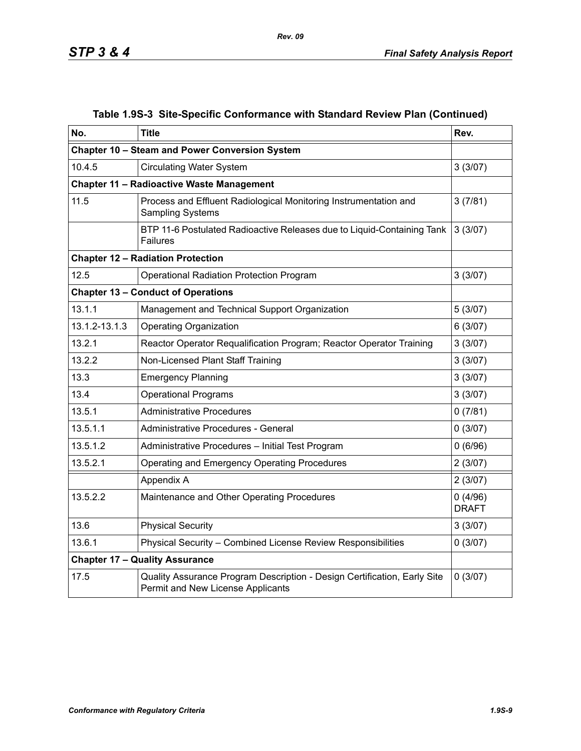| No.           | <b>Title</b>                                                                                                  | Rev.                    |
|---------------|---------------------------------------------------------------------------------------------------------------|-------------------------|
|               | Chapter 10 - Steam and Power Conversion System                                                                |                         |
| 10.4.5        | <b>Circulating Water System</b>                                                                               | 3(3/07)                 |
|               | <b>Chapter 11 - Radioactive Waste Management</b>                                                              |                         |
| 11.5          | Process and Effluent Radiological Monitoring Instrumentation and<br><b>Sampling Systems</b>                   | 3(7/81)                 |
|               | BTP 11-6 Postulated Radioactive Releases due to Liquid-Containing Tank<br><b>Failures</b>                     | 3(3/07)                 |
|               | <b>Chapter 12 - Radiation Protection</b>                                                                      |                         |
| 12.5          | <b>Operational Radiation Protection Program</b>                                                               | 3(3/07)                 |
|               | <b>Chapter 13 - Conduct of Operations</b>                                                                     |                         |
| 13.1.1        | Management and Technical Support Organization                                                                 | 5(3/07)                 |
| 13.1.2-13.1.3 | <b>Operating Organization</b>                                                                                 | 6(3/07)                 |
| 13.2.1        | Reactor Operator Requalification Program; Reactor Operator Training                                           | 3(3/07)                 |
| 13.2.2        | Non-Licensed Plant Staff Training                                                                             | 3(3/07)                 |
| 13.3          | <b>Emergency Planning</b>                                                                                     | 3(3/07)                 |
| 13.4          | <b>Operational Programs</b>                                                                                   | 3(3/07)                 |
| 13.5.1        | <b>Administrative Procedures</b>                                                                              | 0(7/81)                 |
| 13.5.1.1      | Administrative Procedures - General                                                                           | 0(3/07)                 |
| 13.5.1.2      | Administrative Procedures - Initial Test Program                                                              | 0(6/96)                 |
| 13.5.2.1      | Operating and Emergency Operating Procedures                                                                  | 2(3/07)                 |
|               | Appendix A                                                                                                    | 2(3/07)                 |
| 13.5.2.2      | Maintenance and Other Operating Procedures                                                                    | 0(4/96)<br><b>DRAFT</b> |
| 13.6          | <b>Physical Security</b>                                                                                      | 3(3/07)                 |
| 13.6.1        | Physical Security - Combined License Review Responsibilities                                                  | 0(3/07)                 |
|               | <b>Chapter 17 - Quality Assurance</b>                                                                         |                         |
| 17.5          | Quality Assurance Program Description - Design Certification, Early Site<br>Permit and New License Applicants | 0(3/07)                 |

# **Table 1.9S-3 Site-Specific Conformance with Standard Review Plan (Continued)**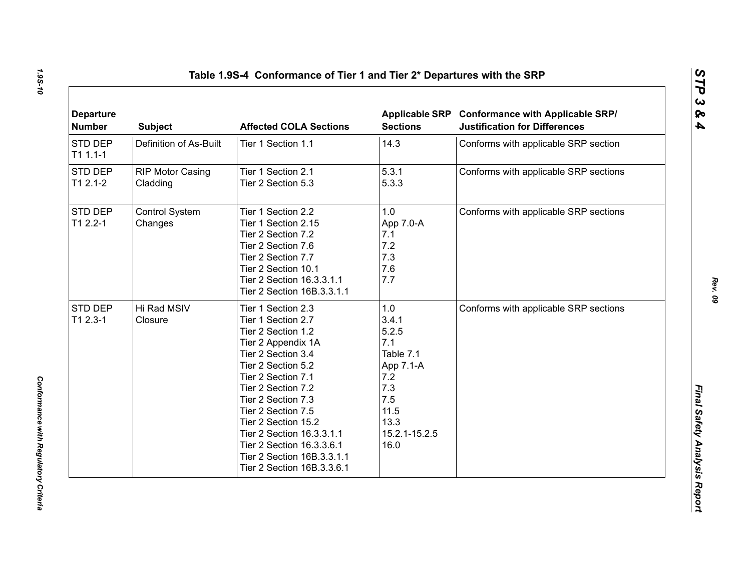| <b>Departure</b><br><b>Number</b> | <b>Subject</b>                      | <b>Affected COLA Sections</b>                                                                                                                                                                                                                                                                                                                                         | <b>Sections</b>                                                                                                      | Applicable SRP Conformance with Applicable SRP/<br><b>Justification for Differences</b> |
|-----------------------------------|-------------------------------------|-----------------------------------------------------------------------------------------------------------------------------------------------------------------------------------------------------------------------------------------------------------------------------------------------------------------------------------------------------------------------|----------------------------------------------------------------------------------------------------------------------|-----------------------------------------------------------------------------------------|
| STD DEP<br>$T11.1-1$              | Definition of As-Built              | Tier 1 Section 1.1                                                                                                                                                                                                                                                                                                                                                    | 14.3                                                                                                                 | Conforms with applicable SRP section                                                    |
| STD DEP<br>$T12.1-2$              | <b>RIP Motor Casing</b><br>Cladding | Tier 1 Section 2.1<br>Tier 2 Section 5.3                                                                                                                                                                                                                                                                                                                              | 5.3.1<br>5.3.3                                                                                                       | Conforms with applicable SRP sections                                                   |
| STD DEP<br>$T12.2 - 1$            | Control System<br>Changes           | Tier 1 Section 2.2<br>Tier 1 Section 2.15<br>Tier 2 Section 7.2<br>Tier 2 Section 7.6<br>Tier 2 Section 7.7<br>Tier 2 Section 10.1<br>Tier 2 Section 16.3.3.1.1<br>Tier 2 Section 16B.3.3.1.1                                                                                                                                                                         | 1.0<br>App 7.0-A<br>7.1<br>7.2<br>7.3<br>7.6<br>7.7                                                                  | Conforms with applicable SRP sections                                                   |
| STD DEP<br>$T12.3-1$              | Hi Rad MSIV<br>Closure              | Tier 1 Section 2.3<br>Tier 1 Section 2.7<br>Tier 2 Section 1.2<br>Tier 2 Appendix 1A<br>Tier 2 Section 3.4<br>Tier 2 Section 5.2<br>Tier 2 Section 7.1<br>Tier 2 Section 7.2<br>Tier 2 Section 7.3<br>Tier 2 Section 7.5<br>Tier 2 Section 15.2<br>Tier 2 Section 16.3.3.1.1<br>Tier 2 Section 16.3.3.6.1<br>Tier 2 Section 16B.3.3.1.1<br>Tier 2 Section 16B.3.3.6.1 | 1.0<br>3.4.1<br>5.2.5<br>7.1<br>Table 7.1<br>App 7.1-A<br>7.2<br>7.3<br>7.5<br>11.5<br>13.3<br>15.2.1-15.2.5<br>16.0 | Conforms with applicable SRP sections                                                   |

*1.9S-10*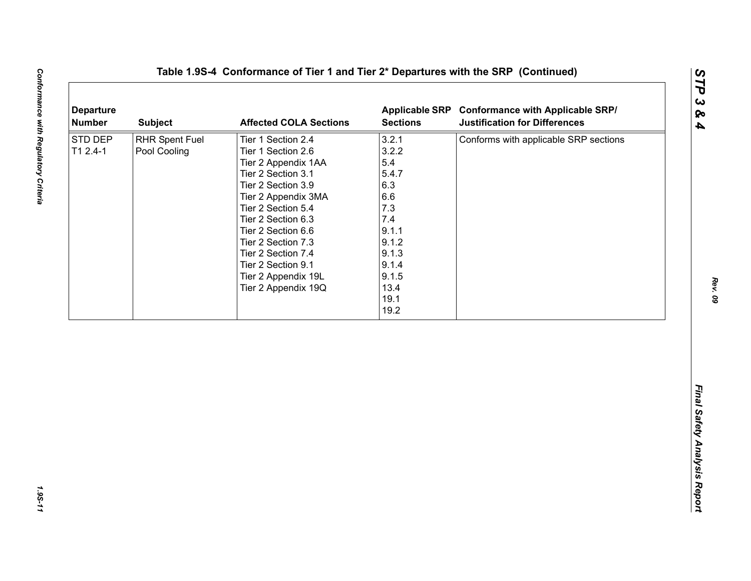| <b>Departure</b><br><b>Number</b> | <b>Subject</b>                        | <b>Affected COLA Sections</b>                                                                                                                                                                                                                                                                                        | <b>Sections</b>                                                                                                                 | Applicable SRP Conformance with Applicable SRP/<br><b>Justification for Differences</b> |
|-----------------------------------|---------------------------------------|----------------------------------------------------------------------------------------------------------------------------------------------------------------------------------------------------------------------------------------------------------------------------------------------------------------------|---------------------------------------------------------------------------------------------------------------------------------|-----------------------------------------------------------------------------------------|
| STD DEP<br>$T12.4-1$              | <b>RHR Spent Fuel</b><br>Pool Cooling | Tier 1 Section 2.4<br>Tier 1 Section 2.6<br>Tier 2 Appendix 1AA<br>Tier 2 Section 3.1<br>Tier 2 Section 3.9<br>Tier 2 Appendix 3MA<br>Tier 2 Section 5.4<br>Tier 2 Section 6.3<br>Tier 2 Section 6.6<br>Tier 2 Section 7.3<br>Tier 2 Section 7.4<br>Tier 2 Section 9.1<br>Tier 2 Appendix 19L<br>Tier 2 Appendix 19Q | 3.2.1<br>3.2.2<br>5.4<br>5.4.7<br>6.3<br>6.6<br>7.3<br>7.4<br>9.1.1<br>9.1.2<br>9.1.3<br>9.1.4<br>9.1.5<br>13.4<br>19.1<br>19.2 | Conforms with applicable SRP sections                                                   |
|                                   |                                       |                                                                                                                                                                                                                                                                                                                      |                                                                                                                                 |                                                                                         |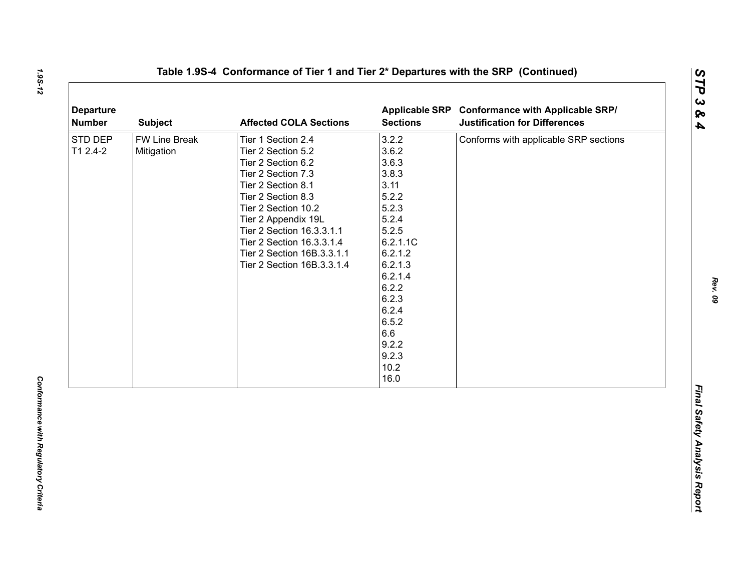| <b>Departure</b><br><b>Number</b> | <b>Subject</b>                     | <b>Affected COLA Sections</b>                                                                                                                                                                                                                                                                        | <b>Sections</b>                                                                                                                                                                                        | Applicable SRP Conformance with Applicable SRP/<br><b>Justification for Differences</b> |
|-----------------------------------|------------------------------------|------------------------------------------------------------------------------------------------------------------------------------------------------------------------------------------------------------------------------------------------------------------------------------------------------|--------------------------------------------------------------------------------------------------------------------------------------------------------------------------------------------------------|-----------------------------------------------------------------------------------------|
| STD DEP<br>T1 2.4-2               | <b>FW Line Break</b><br>Mitigation | Tier 1 Section 2.4<br>Tier 2 Section 5.2<br>Tier 2 Section 6.2<br>Tier 2 Section 7.3<br>Tier 2 Section 8.1<br>Tier 2 Section 8.3<br>Tier 2 Section 10.2<br>Tier 2 Appendix 19L<br>Tier 2 Section 16.3.3.1.1<br>Tier 2 Section 16.3.3.1.4<br>Tier 2 Section 16B.3.3.1.1<br>Tier 2 Section 16B.3.3.1.4 | 3.2.2<br>3.6.2<br>3.6.3<br>3.8.3<br>3.11<br>5.2.2<br>5.2.3<br>5.2.4<br>5.2.5<br>6.2.1.1C<br>6.2.1.2<br>6.2.1.3<br>6.2.1.4<br>6.2.2<br>6.2.3<br>6.2.4<br>6.5.2<br>6.6<br>9.2.2<br>9.2.3<br>10.2<br>16.0 | Conforms with applicable SRP sections                                                   |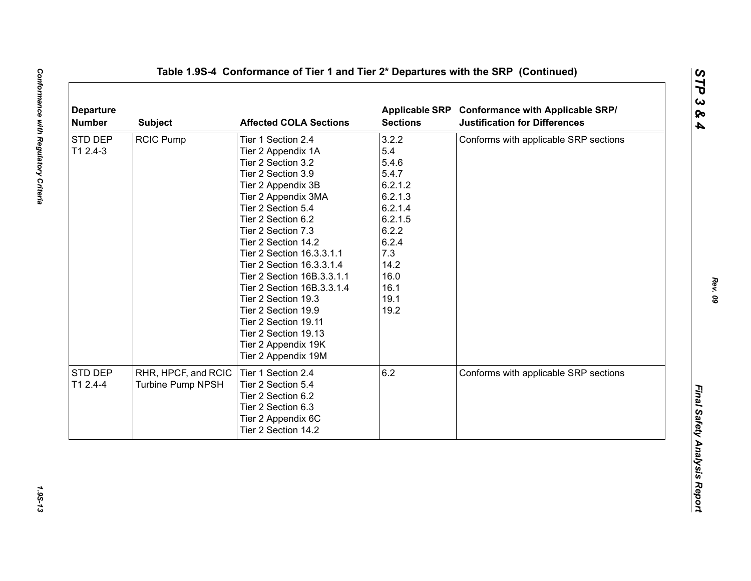| <b>RCIC Pump</b> | Tier 1 Section 2.4                       | 3.2.2                                                                                                                                                                                                                                                                                                      | Conforms with applicable SRP sections                                                                   |
|------------------|------------------------------------------|------------------------------------------------------------------------------------------------------------------------------------------------------------------------------------------------------------------------------------------------------------------------------------------------------------|---------------------------------------------------------------------------------------------------------|
|                  |                                          |                                                                                                                                                                                                                                                                                                            |                                                                                                         |
|                  | Tier 2 Appendix 1A                       | 5.4                                                                                                                                                                                                                                                                                                        |                                                                                                         |
|                  | Tier 2 Section 3.2                       | 5.4.6                                                                                                                                                                                                                                                                                                      |                                                                                                         |
|                  | Tier 2 Section 3.9                       | 5.4.7                                                                                                                                                                                                                                                                                                      |                                                                                                         |
|                  |                                          |                                                                                                                                                                                                                                                                                                            |                                                                                                         |
|                  | Tier 2 Appendix 3MA                      |                                                                                                                                                                                                                                                                                                            |                                                                                                         |
|                  | Tier 2 Section 5.4                       |                                                                                                                                                                                                                                                                                                            |                                                                                                         |
|                  | Tier 2 Section 6.2                       |                                                                                                                                                                                                                                                                                                            |                                                                                                         |
|                  | Tier 2 Section 7.3                       |                                                                                                                                                                                                                                                                                                            |                                                                                                         |
|                  | Tier 2 Section 14.2                      | 6.2.4                                                                                                                                                                                                                                                                                                      |                                                                                                         |
|                  | Tier 2 Section 16.3.3.1.1                |                                                                                                                                                                                                                                                                                                            |                                                                                                         |
|                  | Tier 2 Section 16.3.3.1.4                |                                                                                                                                                                                                                                                                                                            |                                                                                                         |
|                  | Tier 2 Section 16B.3.3.1.1               |                                                                                                                                                                                                                                                                                                            |                                                                                                         |
|                  |                                          |                                                                                                                                                                                                                                                                                                            |                                                                                                         |
|                  |                                          |                                                                                                                                                                                                                                                                                                            |                                                                                                         |
|                  |                                          |                                                                                                                                                                                                                                                                                                            |                                                                                                         |
|                  |                                          |                                                                                                                                                                                                                                                                                                            |                                                                                                         |
|                  |                                          |                                                                                                                                                                                                                                                                                                            |                                                                                                         |
|                  |                                          |                                                                                                                                                                                                                                                                                                            |                                                                                                         |
|                  |                                          |                                                                                                                                                                                                                                                                                                            |                                                                                                         |
|                  |                                          |                                                                                                                                                                                                                                                                                                            | Conforms with applicable SRP sections                                                                   |
|                  |                                          |                                                                                                                                                                                                                                                                                                            |                                                                                                         |
|                  |                                          |                                                                                                                                                                                                                                                                                                            |                                                                                                         |
|                  |                                          |                                                                                                                                                                                                                                                                                                            |                                                                                                         |
|                  |                                          |                                                                                                                                                                                                                                                                                                            |                                                                                                         |
|                  | Tier 2 Section 14.2                      |                                                                                                                                                                                                                                                                                                            |                                                                                                         |
|                  | RHR, HPCF, and RCIC<br>Turbine Pump NPSH | Tier 2 Appendix 3B<br>Tier 2 Section 16B.3.3.1.4<br>Tier 2 Section 19.3<br>Tier 2 Section 19.9<br>Tier 2 Section 19.11<br>Tier 2 Section 19.13<br>Tier 2 Appendix 19K<br>Tier 2 Appendix 19M<br>Tier 1 Section 2.4<br>Tier 2 Section 5.4<br>Tier 2 Section 6.2<br>Tier 2 Section 6.3<br>Tier 2 Appendix 6C | 6.2.1.2<br>6.2.1.3<br>6.2.1.4<br>6.2.1.5<br>6.2.2<br>7.3<br>14.2<br>16.0<br>16.1<br>19.1<br>19.2<br>6.2 |

1.95-13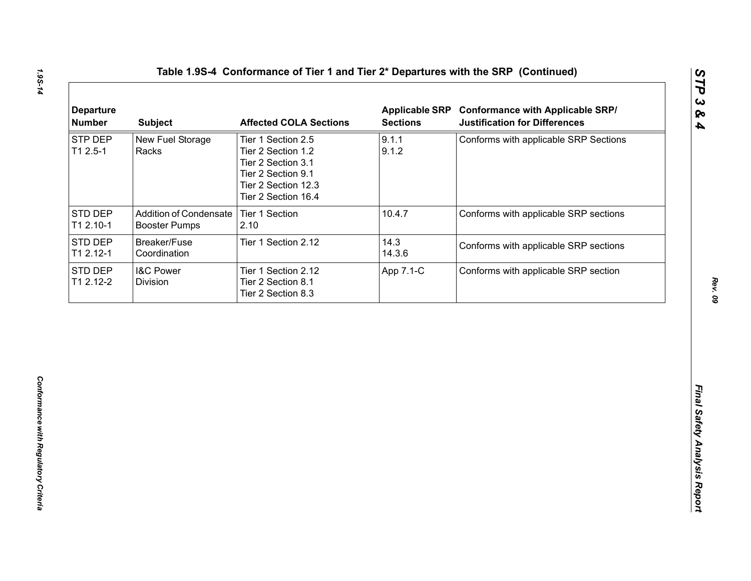| <b>STP DEP</b><br>9.1.1<br>New Fuel Storage<br>Conforms with applicable SRP Sections<br>Tier 1 Section 2.5<br>9.1.2<br>$T12.5-1$<br>Racks<br>Tier 2 Section 1.2<br>Tier 2 Section 3.1<br>Tier 2 Section 9.1<br>Tier 2 Section 12.3<br>Tier 2 Section 16.4<br><b>Addition of Condensate</b><br>Tier 1 Section<br>10.4.7<br>Conforms with applicable SRP sections<br><b>Booster Pumps</b><br>2.10<br>14.3<br>Breaker/Fuse<br>Tier 1 Section 2.12<br>Conforms with applicable SRP sections<br>14.3.6<br>Coordination |
|-------------------------------------------------------------------------------------------------------------------------------------------------------------------------------------------------------------------------------------------------------------------------------------------------------------------------------------------------------------------------------------------------------------------------------------------------------------------------------------------------------------------|
| STD DEP<br>T1 2.10-1<br>STD DEP<br>T1 2.12-1                                                                                                                                                                                                                                                                                                                                                                                                                                                                      |
|                                                                                                                                                                                                                                                                                                                                                                                                                                                                                                                   |
|                                                                                                                                                                                                                                                                                                                                                                                                                                                                                                                   |
| STD DEP<br><b>I&amp;C Power</b><br>Conforms with applicable SRP section<br>Tier 1 Section 2.12<br>App 7.1-C<br>T1 2.12-2<br>Division<br>Tier 2 Section 8.1<br>Tier 2 Section 8.3                                                                                                                                                                                                                                                                                                                                  |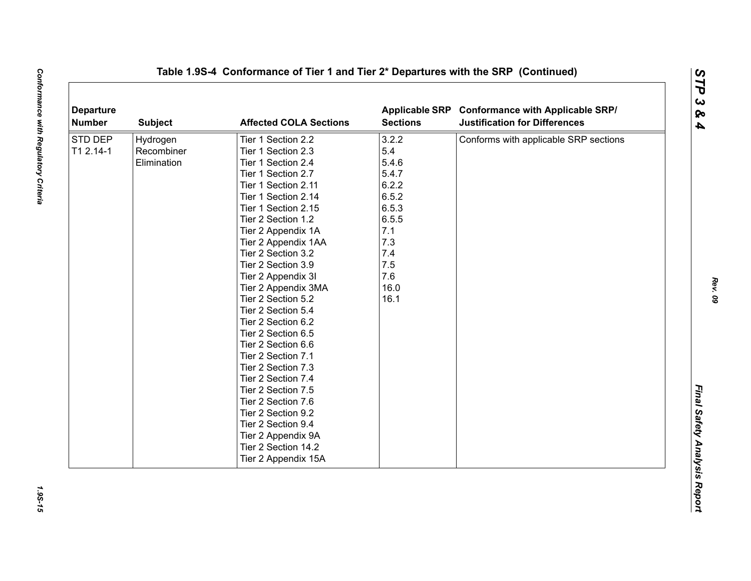| <b>Departure</b><br><b>Number</b> | <b>Subject</b> | <b>Affected COLA Sections</b> | <b>Sections</b> | Applicable SRP Conformance with Applicable SRP/<br><b>Justification for Differences</b> |
|-----------------------------------|----------------|-------------------------------|-----------------|-----------------------------------------------------------------------------------------|
| <b>STD DEP</b>                    | Hydrogen       | Tier 1 Section 2.2            | 3.2.2           | Conforms with applicable SRP sections                                                   |
| T1 2.14-1                         | Recombiner     | Tier 1 Section 2.3            | 5.4             |                                                                                         |
|                                   | Elimination    | Tier 1 Section 2.4            | 5.4.6           |                                                                                         |
|                                   |                | Tier 1 Section 2.7            | 5.4.7           |                                                                                         |
|                                   |                | Tier 1 Section 2.11           | 6.2.2           |                                                                                         |
|                                   |                | Tier 1 Section 2.14           | 6.5.2           |                                                                                         |
|                                   |                | Tier 1 Section 2.15           | 6.5.3           |                                                                                         |
|                                   |                | Tier 2 Section 1.2            | 6.5.5           |                                                                                         |
|                                   |                | Tier 2 Appendix 1A            | 7.1             |                                                                                         |
|                                   |                | Tier 2 Appendix 1AA           | 7.3             |                                                                                         |
|                                   |                | Tier 2 Section 3.2            | 7.4             |                                                                                         |
|                                   |                | Tier 2 Section 3.9            | 7.5             |                                                                                         |
|                                   |                | Tier 2 Appendix 3I            | 7.6             |                                                                                         |
|                                   |                | Tier 2 Appendix 3MA           | 16.0            |                                                                                         |
|                                   |                | Tier 2 Section 5.2            | 16.1            |                                                                                         |
|                                   |                | Tier 2 Section 5.4            |                 |                                                                                         |
|                                   |                | Tier 2 Section 6.2            |                 |                                                                                         |
|                                   |                | Tier 2 Section 6.5            |                 |                                                                                         |
|                                   |                | Tier 2 Section 6.6            |                 |                                                                                         |
|                                   |                | Tier 2 Section 7.1            |                 |                                                                                         |
|                                   |                | Tier 2 Section 7.3            |                 |                                                                                         |
|                                   |                | Tier 2 Section 7.4            |                 |                                                                                         |
|                                   |                | Tier 2 Section 7.5            |                 |                                                                                         |
|                                   |                | Tier 2 Section 7.6            |                 |                                                                                         |
|                                   |                | Tier 2 Section 9.2            |                 |                                                                                         |
|                                   |                | Tier 2 Section 9.4            |                 |                                                                                         |
|                                   |                | Tier 2 Appendix 9A            |                 |                                                                                         |
|                                   |                | Tier 2 Section 14.2           |                 |                                                                                         |
|                                   |                | Tier 2 Appendix 15A           |                 |                                                                                         |

1.9S-15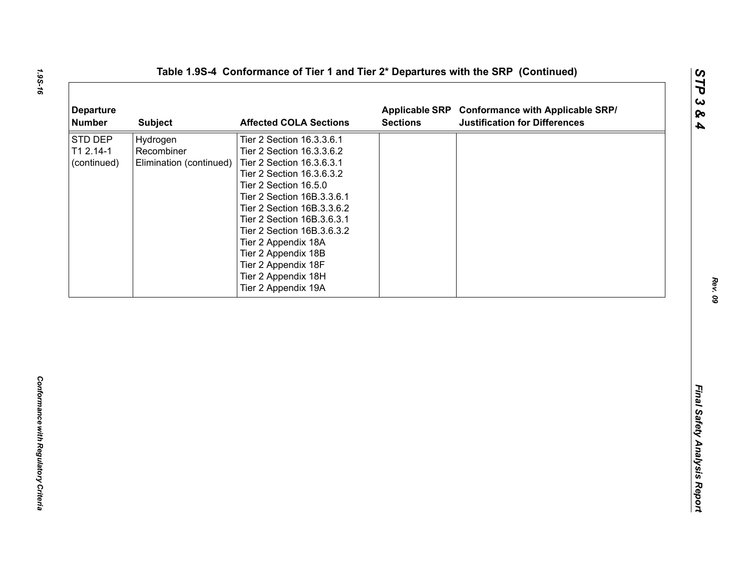| <b>Departure</b><br><b>Number</b>   | <b>Subject</b>                                    | <b>Affected COLA Sections</b>                                                                                                                                                                                                                                                                                                                                                        | <b>Sections</b> | Applicable SRP Conformance with Applicable SRP/<br><b>Justification for Differences</b> |
|-------------------------------------|---------------------------------------------------|--------------------------------------------------------------------------------------------------------------------------------------------------------------------------------------------------------------------------------------------------------------------------------------------------------------------------------------------------------------------------------------|-----------------|-----------------------------------------------------------------------------------------|
| STD DEP<br>T1 2.14-1<br>(continued) | Hydrogen<br>Recombiner<br>Elimination (continued) | Tier 2 Section 16.3.3.6.1<br>Tier 2 Section 16.3.3.6.2<br>Tier 2 Section 16.3.6.3.1<br>Tier 2 Section 16.3.6.3.2<br>Tier 2 Section 16.5.0<br>Tier 2 Section 16B.3.3.6.1<br>Tier 2 Section 16B.3.3.6.2<br>Tier 2 Section 16B.3.6.3.1<br>Tier 2 Section 16B.3.6.3.2<br>Tier 2 Appendix 18A<br>Tier 2 Appendix 18B<br>Tier 2 Appendix 18F<br>Tier 2 Appendix 18H<br>Tier 2 Appendix 19A |                 |                                                                                         |
|                                     |                                                   |                                                                                                                                                                                                                                                                                                                                                                                      |                 |                                                                                         |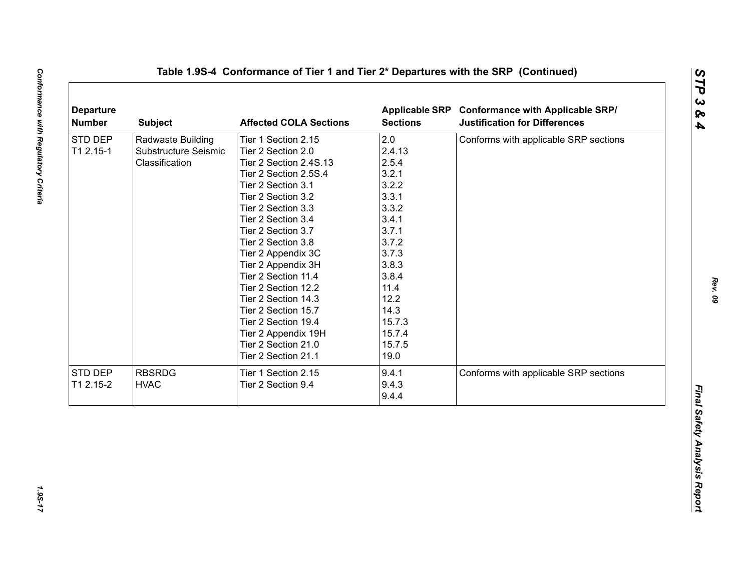|           | <b>Subject</b>       | <b>Affected COLA Sections</b> | <b>Sections</b> | Applicable SRP Conformance with Applicable SRP/<br><b>Justification for Differences</b> |
|-----------|----------------------|-------------------------------|-----------------|-----------------------------------------------------------------------------------------|
| STD DEP   | Radwaste Building    | Tier 1 Section 2.15           | 2.0             | Conforms with applicable SRP sections                                                   |
| T1 2.15-1 | Substructure Seismic | Tier 2 Section 2.0            | 2.4.13          |                                                                                         |
|           | Classification       | Tier 2 Section 2.4S.13        | 2.5.4           |                                                                                         |
|           |                      | Tier 2 Section 2.5S.4         | 3.2.1           |                                                                                         |
|           |                      | Tier 2 Section 3.1            | 3.2.2           |                                                                                         |
|           |                      | Tier 2 Section 3.2            | 3.3.1           |                                                                                         |
|           |                      | Tier 2 Section 3.3            | 3.3.2           |                                                                                         |
|           |                      | Tier 2 Section 3.4            | 3.4.1           |                                                                                         |
|           |                      | Tier 2 Section 3.7            | 3.7.1           |                                                                                         |
|           |                      | Tier 2 Section 3.8            | 3.7.2           |                                                                                         |
|           |                      | Tier 2 Appendix 3C            | 3.7.3           |                                                                                         |
|           |                      | Tier 2 Appendix 3H            | 3.8.3           |                                                                                         |
|           |                      | Tier 2 Section 11.4           | 3.8.4           |                                                                                         |
|           |                      | Tier 2 Section 12.2           | 11.4            |                                                                                         |
|           |                      | Tier 2 Section 14.3           | 12.2            |                                                                                         |
|           |                      | Tier 2 Section 15.7           | 14.3            |                                                                                         |
|           |                      | Tier 2 Section 19.4           | 15.7.3          |                                                                                         |
|           |                      | Tier 2 Appendix 19H           | 15.7.4          |                                                                                         |
|           |                      | Tier 2 Section 21.0           | 15.7.5          |                                                                                         |
|           |                      | Tier 2 Section 21.1           | 19.0            |                                                                                         |
| STD DEP   | <b>RBSRDG</b>        | Tier 1 Section 2.15           | 9.4.1           | Conforms with applicable SRP sections                                                   |
| T1 2.15-2 | <b>HVAC</b>          | Tier 2 Section 9.4            | 9.4.3           |                                                                                         |
|           |                      |                               | 9.4.4           |                                                                                         |

1.95-17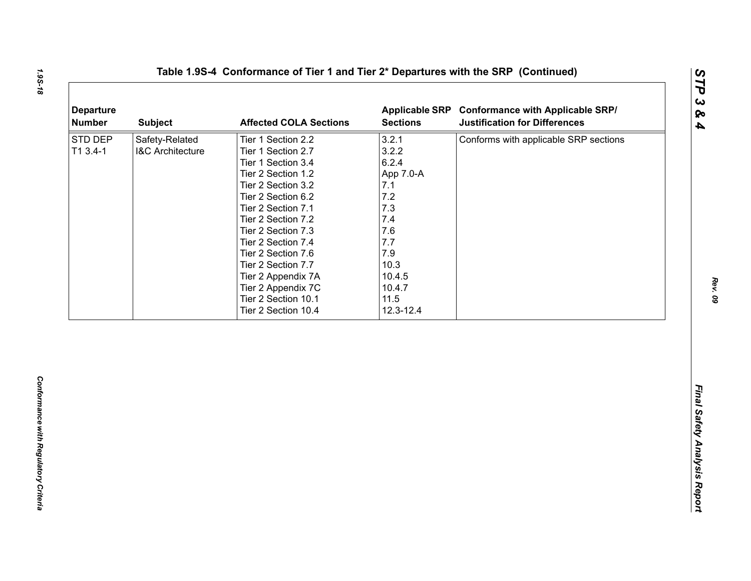| 3.2.1<br>Safety-Related<br>Conforms with applicable SRP sections<br>Tier 1 Section 2.2<br>3.2.2<br>T1 3.4-1<br><b>I&amp;C Architecture</b><br>Tier 1 Section 2.7<br>6.2.4<br>Tier 1 Section 3.4<br>Tier 2 Section 1.2<br>App 7.0-A<br>Tier 2 Section 3.2<br>7.1<br>$7.2$<br>Tier 2 Section 6.2<br>7.3<br>Tier 2 Section 7.1<br>7.4<br>Tier 2 Section 7.2<br>7.6<br>Tier 2 Section 7.3<br>7.7<br>Tier 2 Section 7.4<br>7.9<br>Tier 2 Section 7.6<br>10.3<br>Tier 2 Section 7.7<br>10.4.5<br>Tier 2 Appendix 7A<br>Tier 2 Appendix 7C<br>10.4.7<br>11.5<br>Tier 2 Section 10.1<br>Tier 2 Section 10.4<br>12.3-12.4 | <b>Departure</b><br><b>Number</b> | <b>Subject</b> | <b>Affected COLA Sections</b> | <b>Sections</b> | Applicable SRP Conformance with Applicable SRP/<br><b>Justification for Differences</b> |
|------------------------------------------------------------------------------------------------------------------------------------------------------------------------------------------------------------------------------------------------------------------------------------------------------------------------------------------------------------------------------------------------------------------------------------------------------------------------------------------------------------------------------------------------------------------------------------------------------------------|-----------------------------------|----------------|-------------------------------|-----------------|-----------------------------------------------------------------------------------------|
|                                                                                                                                                                                                                                                                                                                                                                                                                                                                                                                                                                                                                  | STD DEP                           |                |                               |                 |                                                                                         |
|                                                                                                                                                                                                                                                                                                                                                                                                                                                                                                                                                                                                                  |                                   |                |                               |                 |                                                                                         |
|                                                                                                                                                                                                                                                                                                                                                                                                                                                                                                                                                                                                                  |                                   |                |                               |                 |                                                                                         |
|                                                                                                                                                                                                                                                                                                                                                                                                                                                                                                                                                                                                                  |                                   |                |                               |                 |                                                                                         |
|                                                                                                                                                                                                                                                                                                                                                                                                                                                                                                                                                                                                                  |                                   |                |                               |                 |                                                                                         |
|                                                                                                                                                                                                                                                                                                                                                                                                                                                                                                                                                                                                                  |                                   |                |                               |                 |                                                                                         |
|                                                                                                                                                                                                                                                                                                                                                                                                                                                                                                                                                                                                                  |                                   |                |                               |                 |                                                                                         |
|                                                                                                                                                                                                                                                                                                                                                                                                                                                                                                                                                                                                                  |                                   |                |                               |                 |                                                                                         |
|                                                                                                                                                                                                                                                                                                                                                                                                                                                                                                                                                                                                                  |                                   |                |                               |                 |                                                                                         |
|                                                                                                                                                                                                                                                                                                                                                                                                                                                                                                                                                                                                                  |                                   |                |                               |                 |                                                                                         |
|                                                                                                                                                                                                                                                                                                                                                                                                                                                                                                                                                                                                                  |                                   |                |                               |                 |                                                                                         |
|                                                                                                                                                                                                                                                                                                                                                                                                                                                                                                                                                                                                                  |                                   |                |                               |                 |                                                                                         |
|                                                                                                                                                                                                                                                                                                                                                                                                                                                                                                                                                                                                                  |                                   |                |                               |                 |                                                                                         |
|                                                                                                                                                                                                                                                                                                                                                                                                                                                                                                                                                                                                                  |                                   |                |                               |                 |                                                                                         |
|                                                                                                                                                                                                                                                                                                                                                                                                                                                                                                                                                                                                                  |                                   |                |                               |                 |                                                                                         |
|                                                                                                                                                                                                                                                                                                                                                                                                                                                                                                                                                                                                                  |                                   |                |                               |                 |                                                                                         |
|                                                                                                                                                                                                                                                                                                                                                                                                                                                                                                                                                                                                                  |                                   |                |                               |                 |                                                                                         |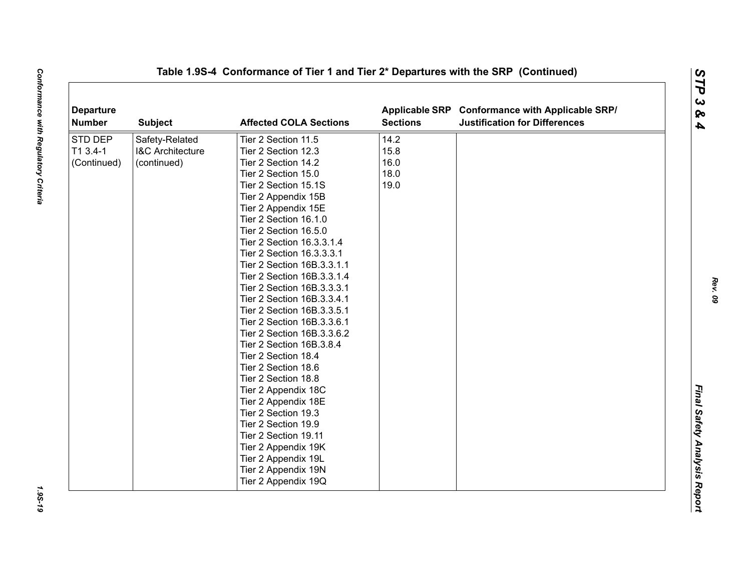| <b>Departure</b><br><b>Number</b> | <b>Subject</b>              | <b>Affected COLA Sections</b> | <b>Sections</b> | Applicable SRP Conformance with Applicable SRP/<br><b>Justification for Differences</b> |  |
|-----------------------------------|-----------------------------|-------------------------------|-----------------|-----------------------------------------------------------------------------------------|--|
| STD DEP                           | Safety-Related              | Tier 2 Section 11.5           | 14.2            |                                                                                         |  |
| T1 3.4-1                          | <b>I&amp;C Architecture</b> | Tier 2 Section 12.3           | 15.8            |                                                                                         |  |
| (Continued)                       | (continued)                 | Tier 2 Section 14.2           | 16.0            |                                                                                         |  |
|                                   |                             | Tier 2 Section 15.0           | 18.0            |                                                                                         |  |
|                                   |                             | Tier 2 Section 15.1S          | 19.0            |                                                                                         |  |
|                                   |                             | Tier 2 Appendix 15B           |                 |                                                                                         |  |
|                                   |                             | Tier 2 Appendix 15E           |                 |                                                                                         |  |
|                                   |                             | Tier 2 Section 16.1.0         |                 |                                                                                         |  |
|                                   |                             | Tier 2 Section 16.5.0         |                 |                                                                                         |  |
|                                   |                             | Tier 2 Section 16.3.3.1.4     |                 |                                                                                         |  |
|                                   |                             | Tier 2 Section 16.3.3.3.1     |                 |                                                                                         |  |
|                                   |                             | Tier 2 Section 16B.3.3.1.1    |                 |                                                                                         |  |
|                                   |                             | Tier 2 Section 16B.3.3.1.4    |                 |                                                                                         |  |
|                                   |                             | Tier 2 Section 16B.3.3.3.1    |                 |                                                                                         |  |
|                                   |                             | Tier 2 Section 16B.3.3.4.1    |                 |                                                                                         |  |
|                                   |                             | Tier 2 Section 16B.3.3.5.1    |                 |                                                                                         |  |
|                                   |                             | Tier 2 Section 16B.3.3.6.1    |                 |                                                                                         |  |
|                                   |                             | Tier 2 Section 16B.3.3.6.2    |                 |                                                                                         |  |
|                                   |                             | Tier 2 Section 16B.3.8.4      |                 |                                                                                         |  |
|                                   |                             | Tier 2 Section 18.4           |                 |                                                                                         |  |
|                                   |                             | Tier 2 Section 18.6           |                 |                                                                                         |  |
|                                   |                             | Tier 2 Section 18.8           |                 |                                                                                         |  |
|                                   |                             | Tier 2 Appendix 18C           |                 |                                                                                         |  |
|                                   |                             | Tier 2 Appendix 18E           |                 |                                                                                         |  |
|                                   |                             | Tier 2 Section 19.3           |                 |                                                                                         |  |
|                                   |                             | Tier 2 Section 19.9           |                 |                                                                                         |  |
|                                   |                             | Tier 2 Section 19.11          |                 |                                                                                         |  |
|                                   |                             | Tier 2 Appendix 19K           |                 |                                                                                         |  |
|                                   |                             | Tier 2 Appendix 19L           |                 |                                                                                         |  |
|                                   |                             | Tier 2 Appendix 19N           |                 |                                                                                         |  |
|                                   |                             | Tier 2 Appendix 19Q           |                 |                                                                                         |  |

*Rev. 09*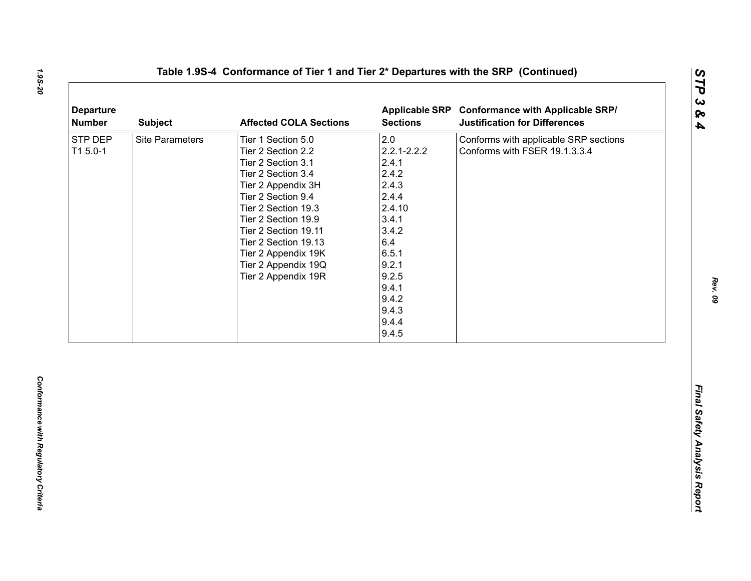| <b>Departure</b><br><b>Number</b> | <b>Subject</b>         | <b>Affected COLA Sections</b>                                                                                                                                                                                                                                                                       | <b>Sections</b>                                                                                                                                                       | Applicable SRP Conformance with Applicable SRP/<br><b>Justification for Differences</b> |
|-----------------------------------|------------------------|-----------------------------------------------------------------------------------------------------------------------------------------------------------------------------------------------------------------------------------------------------------------------------------------------------|-----------------------------------------------------------------------------------------------------------------------------------------------------------------------|-----------------------------------------------------------------------------------------|
| STP DEP<br>T1 5.0-1               | <b>Site Parameters</b> | Tier 1 Section 5.0<br>Tier 2 Section 2.2<br>Tier 2 Section 3.1<br>Tier 2 Section 3.4<br>Tier 2 Appendix 3H<br>Tier 2 Section 9.4<br>Tier 2 Section 19.3<br>Tier 2 Section 19.9<br>Tier 2 Section 19.11<br>Tier 2 Section 19.13<br>Tier 2 Appendix 19K<br>Tier 2 Appendix 19Q<br>Tier 2 Appendix 19R | 2.0<br>$2.2.1 - 2.2.2$<br>2.4.1<br>2.4.2<br>2.4.3<br>2.4.4<br>2.4.10<br>3.4.1<br>3.4.2<br>6.4<br>6.5.1<br>9.2.1<br>9.2.5<br>9.4.1<br>9.4.2<br>9.4.3<br>9.4.4<br>9.4.5 | Conforms with applicable SRP sections<br>Conforms with FSER 19.1.3.3.4                  |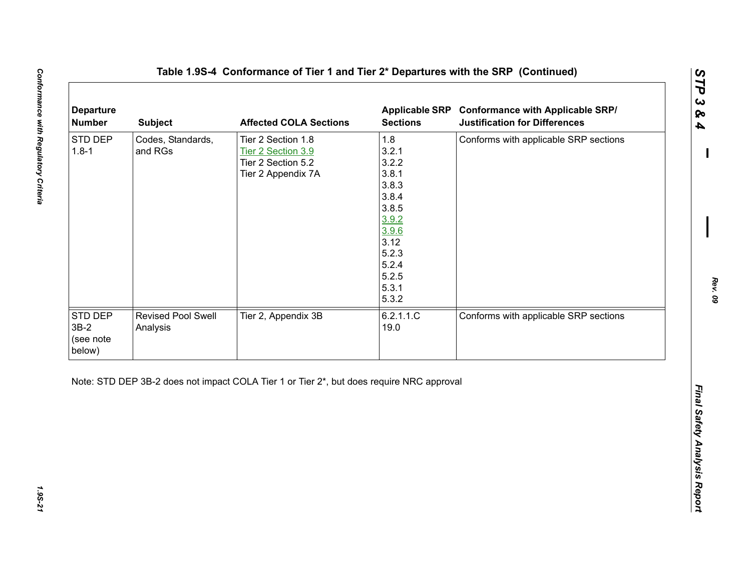| 1.8<br>STD DEP<br>Codes, Standards,<br>Tier 2 Section 1.8<br>Conforms with applicable SRP sections<br>3.2.1<br>$1.8 - 1$<br>and RGs<br>Tier 2 Section 3.9<br>3.2.2<br>Tier 2 Section 5.2<br>3.8.1<br>Tier 2 Appendix 7A<br>3.8.3<br>3.8.4<br>3.8.5<br>3.9.2<br>3.9.6<br>3.12<br>5.2.3<br>5.2.4<br>5.2.5<br>5.3.1<br>5.3.2<br>Tier 2, Appendix 3B<br>6.2.1.1.C<br>Conforms with applicable SRP sections<br>Revised Pool Swell<br>19.0<br>Analysis | <b>Departure</b><br><b>Number</b> | <b>Subject</b> | <b>Affected COLA Sections</b> | <b>Applicable SRP</b><br><b>Sections</b> | <b>Conformance with Applicable SRP/</b><br><b>Justification for Differences</b> |
|--------------------------------------------------------------------------------------------------------------------------------------------------------------------------------------------------------------------------------------------------------------------------------------------------------------------------------------------------------------------------------------------------------------------------------------------------|-----------------------------------|----------------|-------------------------------|------------------------------------------|---------------------------------------------------------------------------------|
|                                                                                                                                                                                                                                                                                                                                                                                                                                                  |                                   |                |                               |                                          |                                                                                 |
| below)                                                                                                                                                                                                                                                                                                                                                                                                                                           | STD DEP<br>$3B-2$<br>(see note    |                |                               |                                          |                                                                                 |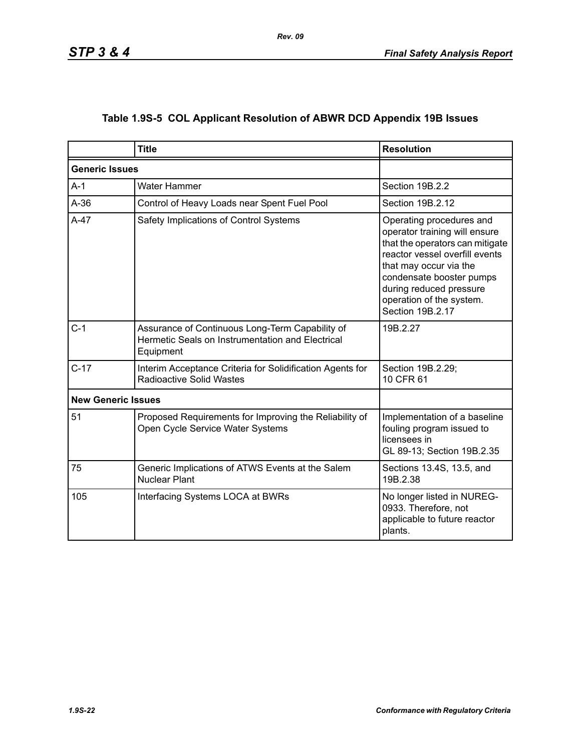|  | Table 1.9S-5 COL Applicant Resolution of ABWR DCD Appendix 19B Issues |  |  |  |  |
|--|-----------------------------------------------------------------------|--|--|--|--|
|--|-----------------------------------------------------------------------|--|--|--|--|

|                           | <b>Title</b>                                                                                                     | <b>Resolution</b>                                                                                                                                                                                                                                               |
|---------------------------|------------------------------------------------------------------------------------------------------------------|-----------------------------------------------------------------------------------------------------------------------------------------------------------------------------------------------------------------------------------------------------------------|
| <b>Generic Issues</b>     |                                                                                                                  |                                                                                                                                                                                                                                                                 |
| $A-1$                     | Water Hammer                                                                                                     | Section 19B.2.2                                                                                                                                                                                                                                                 |
| $A-36$                    | Control of Heavy Loads near Spent Fuel Pool                                                                      | Section 19B.2.12                                                                                                                                                                                                                                                |
| $A-47$                    | Safety Implications of Control Systems                                                                           | Operating procedures and<br>operator training will ensure<br>that the operators can mitigate<br>reactor vessel overfill events<br>that may occur via the<br>condensate booster pumps<br>during reduced pressure<br>operation of the system.<br>Section 19B.2.17 |
| $C-1$                     | Assurance of Continuous Long-Term Capability of<br>Hermetic Seals on Instrumentation and Electrical<br>Equipment | 19B.2.27                                                                                                                                                                                                                                                        |
| $C-17$                    | Interim Acceptance Criteria for Solidification Agents for<br><b>Radioactive Solid Wastes</b>                     | Section 19B.2.29;<br>10 CFR 61                                                                                                                                                                                                                                  |
| <b>New Generic Issues</b> |                                                                                                                  |                                                                                                                                                                                                                                                                 |
| 51                        | Proposed Requirements for Improving the Reliability of<br>Open Cycle Service Water Systems                       | Implementation of a baseline<br>fouling program issued to<br>licensees in<br>GL 89-13; Section 19B.2.35                                                                                                                                                         |
| 75                        | Generic Implications of ATWS Events at the Salem<br><b>Nuclear Plant</b>                                         | Sections 13.4S, 13.5, and<br>19B.2.38                                                                                                                                                                                                                           |
| 105                       | Interfacing Systems LOCA at BWRs                                                                                 | No longer listed in NUREG-<br>0933. Therefore, not<br>applicable to future reactor<br>plants.                                                                                                                                                                   |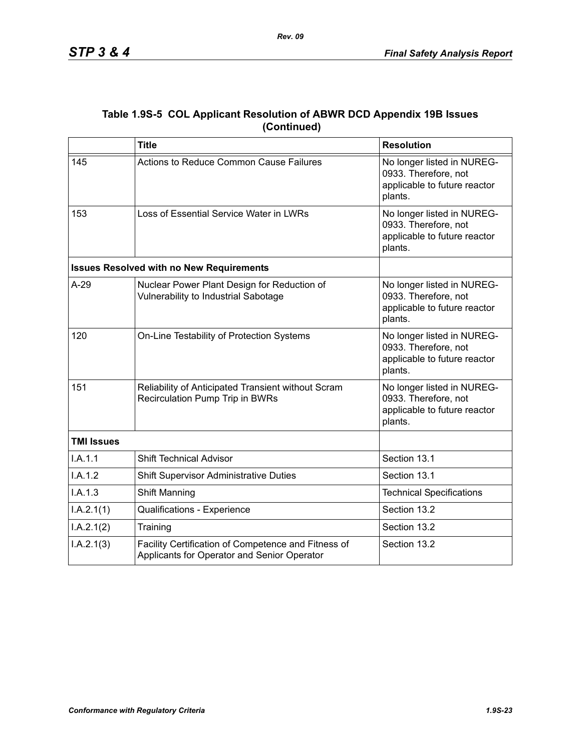|             | Table 1.9S-5 COL Applicant Resolution of ABWR DCD Appendix 19B Issues |
|-------------|-----------------------------------------------------------------------|
| (Continued) |                                                                       |

|                   | <b>Title</b>                                                                                       | <b>Resolution</b>                                                                             |
|-------------------|----------------------------------------------------------------------------------------------------|-----------------------------------------------------------------------------------------------|
| 145               | Actions to Reduce Common Cause Failures                                                            | No longer listed in NUREG-<br>0933. Therefore, not<br>applicable to future reactor<br>plants. |
| 153               | Loss of Essential Service Water in LWRs                                                            | No longer listed in NUREG-<br>0933. Therefore, not<br>applicable to future reactor<br>plants. |
|                   | <b>Issues Resolved with no New Requirements</b>                                                    |                                                                                               |
| $A-29$            | Nuclear Power Plant Design for Reduction of<br>Vulnerability to Industrial Sabotage                | No longer listed in NUREG-<br>0933. Therefore, not<br>applicable to future reactor<br>plants. |
| 120               | On-Line Testability of Protection Systems                                                          | No longer listed in NUREG-<br>0933. Therefore, not<br>applicable to future reactor<br>plants. |
| 151               | Reliability of Anticipated Transient without Scram<br>Recirculation Pump Trip in BWRs              | No longer listed in NUREG-<br>0933. Therefore, not<br>applicable to future reactor<br>plants. |
| <b>TMI Issues</b> |                                                                                                    |                                                                                               |
| I.A.1.1           | <b>Shift Technical Advisor</b>                                                                     | Section 13.1                                                                                  |
| I.A.1.2           | <b>Shift Supervisor Administrative Duties</b>                                                      | Section 13.1                                                                                  |
| I.A.1.3           | Shift Manning                                                                                      | <b>Technical Specifications</b>                                                               |
| I.A.2.1(1)        | Qualifications - Experience                                                                        | Section 13.2                                                                                  |
| I.A.2.1(2)        | Training                                                                                           | Section 13.2                                                                                  |
| I.A.2.1(3)        | Facility Certification of Competence and Fitness of<br>Applicants for Operator and Senior Operator | Section 13.2                                                                                  |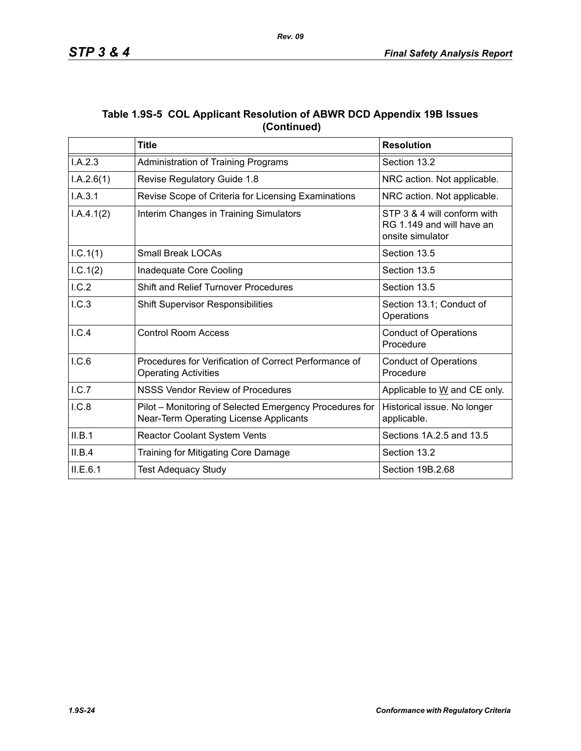|             | Table 1.9S-5 COL Applicant Resolution of ABWR DCD Appendix 19B Issues |
|-------------|-----------------------------------------------------------------------|
| (Continued) |                                                                       |

|            | <b>Title</b>                                                                                      | <b>Resolution</b>                                                            |
|------------|---------------------------------------------------------------------------------------------------|------------------------------------------------------------------------------|
| I.A.2.3    | Administration of Training Programs                                                               | Section 13.2                                                                 |
| I.A.2.6(1) | Revise Regulatory Guide 1.8                                                                       | NRC action. Not applicable.                                                  |
| I.A.3.1    | Revise Scope of Criteria for Licensing Examinations                                               | NRC action. Not applicable.                                                  |
| I.A.4.1(2) | Interim Changes in Training Simulators                                                            | STP 3 & 4 will conform with<br>RG 1.149 and will have an<br>onsite simulator |
| I.C.1(1)   | <b>Small Break LOCAs</b>                                                                          | Section 13.5                                                                 |
| 1.C.1(2)   | Inadequate Core Cooling                                                                           | Section 13.5                                                                 |
| I.C.2      | <b>Shift and Relief Turnover Procedures</b>                                                       | Section 13.5                                                                 |
| I.C.3      | <b>Shift Supervisor Responsibilities</b>                                                          | Section 13.1; Conduct of<br>Operations                                       |
| I.C.4      | <b>Control Room Access</b>                                                                        | <b>Conduct of Operations</b><br>Procedure                                    |
| 1.C.6      | Procedures for Verification of Correct Performance of<br><b>Operating Activities</b>              | <b>Conduct of Operations</b><br>Procedure                                    |
| I.C.7      | NSSS Vendor Review of Procedures                                                                  | Applicable to W and CE only.                                                 |
| I.C.8      | Pilot - Monitoring of Selected Emergency Procedures for<br>Near-Term Operating License Applicants | Historical issue. No longer<br>applicable.                                   |
| II.B.1     | Reactor Coolant System Vents                                                                      | Sections 1A.2.5 and 13.5                                                     |
| II.B.4     | Training for Mitigating Core Damage                                                               | Section 13.2                                                                 |
| ILE.6.1    | <b>Test Adequacy Study</b>                                                                        | Section 19B.2.68                                                             |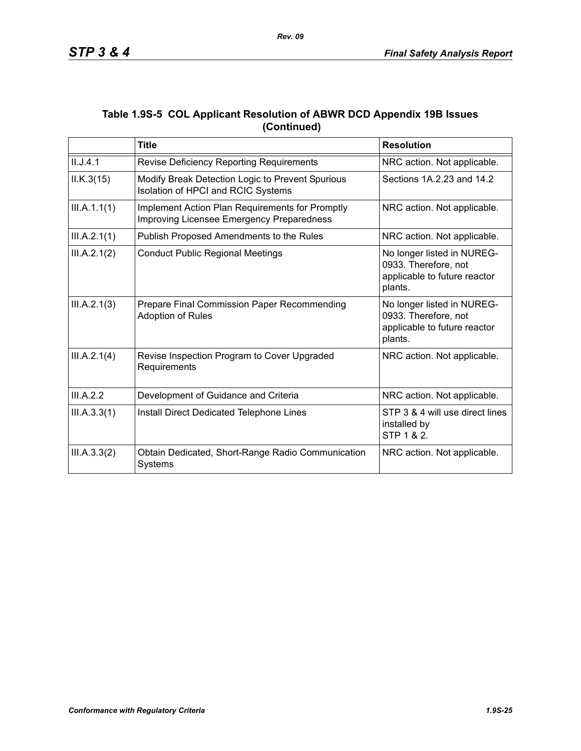|             | Table 1.9S-5 COL Applicant Resolution of ABWR DCD Appendix 19B Issues |
|-------------|-----------------------------------------------------------------------|
| (Continued) |                                                                       |

|              | <b>Title</b>                                                                                 | <b>Resolution</b>                                                                             |
|--------------|----------------------------------------------------------------------------------------------|-----------------------------------------------------------------------------------------------|
| II.J.4.1     | Revise Deficiency Reporting Requirements                                                     | NRC action. Not applicable.                                                                   |
| ILK.3(15)    | Modify Break Detection Logic to Prevent Spurious<br>Isolation of HPCI and RCIC Systems       | Sections 1A.2.23 and 14.2                                                                     |
| III.A.1.1(1) | Implement Action Plan Requirements for Promptly<br>Improving Licensee Emergency Preparedness | NRC action. Not applicable.                                                                   |
| III.A.2.1(1) | Publish Proposed Amendments to the Rules                                                     | NRC action. Not applicable.                                                                   |
| III.A.2.1(2) | <b>Conduct Public Regional Meetings</b>                                                      | No longer listed in NUREG-<br>0933. Therefore, not<br>applicable to future reactor<br>plants. |
| III.A.2.1(3) | Prepare Final Commission Paper Recommending<br><b>Adoption of Rules</b>                      | No longer listed in NUREG-<br>0933. Therefore, not<br>applicable to future reactor<br>plants. |
| III.A.2.1(4) | Revise Inspection Program to Cover Upgraded<br>Requirements                                  | NRC action. Not applicable.                                                                   |
| III.A.2.2    | Development of Guidance and Criteria                                                         | NRC action. Not applicable.                                                                   |
| III.A.3.3(1) | Install Direct Dedicated Telephone Lines                                                     | STP 3 & 4 will use direct lines<br>installed by<br>STP 1 & 2.                                 |
| III.A.3.3(2) | Obtain Dedicated, Short-Range Radio Communication<br>Systems                                 | NRC action. Not applicable.                                                                   |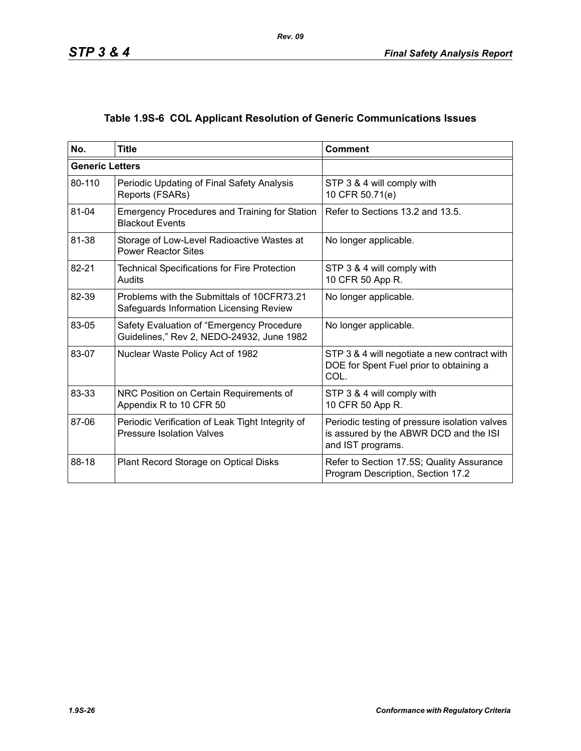# **Table 1.9S-6 COL Applicant Resolution of Generic Communications Issues**

| No.                    | <b>Title</b>                                                                           | <b>Comment</b>                                                                                               |
|------------------------|----------------------------------------------------------------------------------------|--------------------------------------------------------------------------------------------------------------|
| <b>Generic Letters</b> |                                                                                        |                                                                                                              |
| 80-110                 | Periodic Updating of Final Safety Analysis<br>Reports (FSARs)                          | STP 3 & 4 will comply with<br>10 CFR 50.71(e)                                                                |
| 81-04                  | <b>Emergency Procedures and Training for Station</b><br><b>Blackout Events</b>         | Refer to Sections 13.2 and 13.5.                                                                             |
| 81-38                  | Storage of Low-Level Radioactive Wastes at<br><b>Power Reactor Sites</b>               | No longer applicable.                                                                                        |
| 82-21                  | <b>Technical Specifications for Fire Protection</b><br>Audits                          | STP 3 & 4 will comply with<br>10 CFR 50 App R.                                                               |
| 82-39                  | Problems with the Submittals of 10CFR73.21<br>Safeguards Information Licensing Review  | No longer applicable.                                                                                        |
| 83-05                  | Safety Evaluation of "Emergency Procedure<br>Guidelines," Rev 2, NEDO-24932, June 1982 | No longer applicable.                                                                                        |
| 83-07                  | Nuclear Waste Policy Act of 1982                                                       | STP 3 & 4 will negotiate a new contract with<br>DOE for Spent Fuel prior to obtaining a<br>COL.              |
| 83-33                  | NRC Position on Certain Requirements of<br>Appendix R to 10 CFR 50                     | STP 3 & 4 will comply with<br>10 CFR 50 App R.                                                               |
| 87-06                  | Periodic Verification of Leak Tight Integrity of<br><b>Pressure Isolation Valves</b>   | Periodic testing of pressure isolation valves<br>is assured by the ABWR DCD and the ISI<br>and IST programs. |
| 88-18                  | Plant Record Storage on Optical Disks                                                  | Refer to Section 17.5S; Quality Assurance<br>Program Description, Section 17.2                               |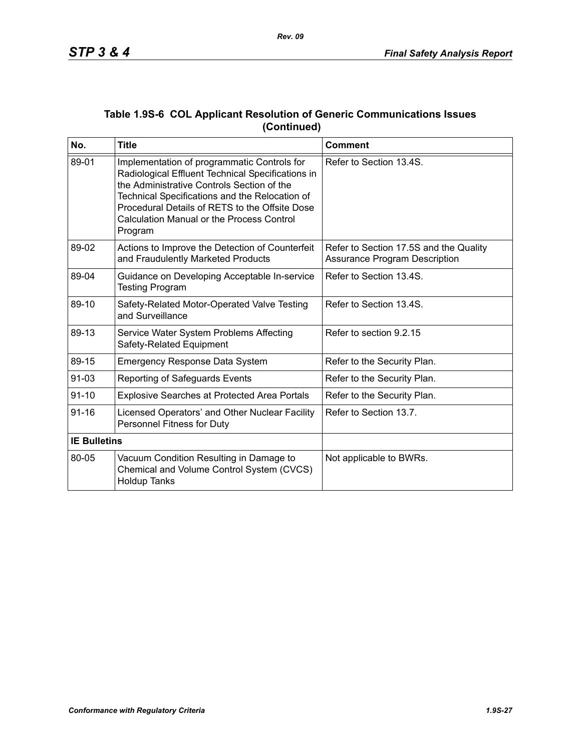| No.                 | <b>Title</b>                                                                                                                                                                                                                                                                                                      | <b>Comment</b>                                                                 |
|---------------------|-------------------------------------------------------------------------------------------------------------------------------------------------------------------------------------------------------------------------------------------------------------------------------------------------------------------|--------------------------------------------------------------------------------|
| 89-01               | Implementation of programmatic Controls for<br>Radiological Effluent Technical Specifications in<br>the Administrative Controls Section of the<br>Technical Specifications and the Relocation of<br>Procedural Details of RETS to the Offsite Dose<br><b>Calculation Manual or the Process Control</b><br>Program | Refer to Section 13.4S.                                                        |
| 89-02               | Actions to Improve the Detection of Counterfeit<br>and Fraudulently Marketed Products                                                                                                                                                                                                                             | Refer to Section 17.5S and the Quality<br><b>Assurance Program Description</b> |
| 89-04               | Guidance on Developing Acceptable In-service<br><b>Testing Program</b>                                                                                                                                                                                                                                            | Refer to Section 13.4S.                                                        |
| 89-10               | Safety-Related Motor-Operated Valve Testing<br>and Surveillance                                                                                                                                                                                                                                                   | Refer to Section 13.4S.                                                        |
| 89-13               | Service Water System Problems Affecting<br>Safety-Related Equipment                                                                                                                                                                                                                                               | Refer to section 9.2.15                                                        |
| 89-15               | <b>Emergency Response Data System</b>                                                                                                                                                                                                                                                                             | Refer to the Security Plan.                                                    |
| $91 - 03$           | Reporting of Safeguards Events                                                                                                                                                                                                                                                                                    | Refer to the Security Plan.                                                    |
| $91 - 10$           | <b>Explosive Searches at Protected Area Portals</b>                                                                                                                                                                                                                                                               | Refer to the Security Plan.                                                    |
| $91 - 16$           | Licensed Operators' and Other Nuclear Facility<br>Personnel Fitness for Duty                                                                                                                                                                                                                                      | Refer to Section 13.7.                                                         |
| <b>IE Bulletins</b> |                                                                                                                                                                                                                                                                                                                   |                                                                                |
| 80-05               | Vacuum Condition Resulting in Damage to<br>Chemical and Volume Control System (CVCS)<br><b>Holdup Tanks</b>                                                                                                                                                                                                       | Not applicable to BWRs.                                                        |

### **Table 1.9S-6 COL Applicant Resolution of Generic Communications Issues (Continued)**